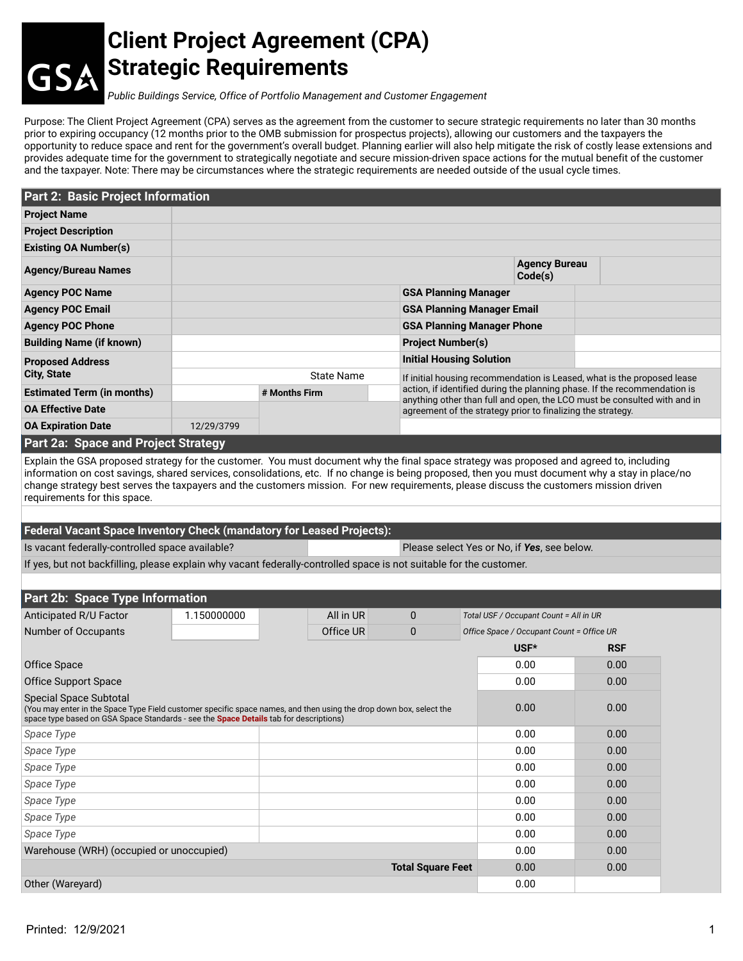## **Client Project Agreement (CPA) Strategic Requirements**

*Public Buildings Service, Office of Portfolio Management and Customer Engagement*

Purpose: The Client Project Agreement (CPA) serves as the agreement from the customer to secure strategic requirements no later than 30 months prior to expiring occupancy (12 months prior to the OMB submission for prospectus projects), allowing our customers and the taxpayers the opportunity to reduce space and rent for the government's overall budget. Planning earlier will also help mitigate the risk of costly lease extensions and provides adequate time for the government to strategically negotiate and secure mission-driven space actions for the mutual benefit of the customer and the taxpayer. Note: There may be circumstances where the strategic requirements are needed outside of the usual cycle times.

| Part 2: Basic Project Information                                                                                                                                                                                                                                                                                                                                                                                                                                      |             |                                   |                   |                                                                                                                                         |                                                                           |                                           |                                                                         |  |
|------------------------------------------------------------------------------------------------------------------------------------------------------------------------------------------------------------------------------------------------------------------------------------------------------------------------------------------------------------------------------------------------------------------------------------------------------------------------|-------------|-----------------------------------|-------------------|-----------------------------------------------------------------------------------------------------------------------------------------|---------------------------------------------------------------------------|-------------------------------------------|-------------------------------------------------------------------------|--|
| <b>Project Name</b>                                                                                                                                                                                                                                                                                                                                                                                                                                                    |             |                                   |                   |                                                                                                                                         |                                                                           |                                           |                                                                         |  |
| <b>Project Description</b>                                                                                                                                                                                                                                                                                                                                                                                                                                             |             |                                   |                   |                                                                                                                                         |                                                                           |                                           |                                                                         |  |
| <b>Existing OA Number(s)</b>                                                                                                                                                                                                                                                                                                                                                                                                                                           |             |                                   |                   |                                                                                                                                         |                                                                           |                                           |                                                                         |  |
| <b>Agency/Bureau Names</b>                                                                                                                                                                                                                                                                                                                                                                                                                                             |             |                                   |                   |                                                                                                                                         |                                                                           | <b>Agency Bureau</b><br>Code(s)           |                                                                         |  |
| <b>Agency POC Name</b>                                                                                                                                                                                                                                                                                                                                                                                                                                                 |             |                                   |                   | <b>GSA Planning Manager</b>                                                                                                             |                                                                           |                                           |                                                                         |  |
| <b>Agency POC Email</b>                                                                                                                                                                                                                                                                                                                                                                                                                                                |             |                                   |                   | <b>GSA Planning Manager Email</b>                                                                                                       |                                                                           |                                           |                                                                         |  |
| <b>Agency POC Phone</b>                                                                                                                                                                                                                                                                                                                                                                                                                                                |             | <b>GSA Planning Manager Phone</b> |                   |                                                                                                                                         |                                                                           |                                           |                                                                         |  |
| <b>Building Name (if known)</b>                                                                                                                                                                                                                                                                                                                                                                                                                                        |             |                                   |                   | <b>Project Number(s)</b>                                                                                                                |                                                                           |                                           |                                                                         |  |
| <b>Proposed Address</b>                                                                                                                                                                                                                                                                                                                                                                                                                                                |             |                                   |                   | <b>Initial Housing Solution</b>                                                                                                         |                                                                           |                                           |                                                                         |  |
| <b>City, State</b>                                                                                                                                                                                                                                                                                                                                                                                                                                                     |             |                                   | <b>State Name</b> |                                                                                                                                         |                                                                           |                                           | If initial housing recommendation is Leased, what is the proposed lease |  |
| <b>Estimated Term (in months)</b>                                                                                                                                                                                                                                                                                                                                                                                                                                      |             | # Months Firm                     |                   |                                                                                                                                         | action, if identified during the planning phase. If the recommendation is |                                           |                                                                         |  |
| <b>OA Effective Date</b>                                                                                                                                                                                                                                                                                                                                                                                                                                               |             |                                   |                   | anything other than full and open, the LCO must be consulted with and in<br>agreement of the strategy prior to finalizing the strategy. |                                                                           |                                           |                                                                         |  |
| <b>OA Expiration Date</b>                                                                                                                                                                                                                                                                                                                                                                                                                                              | 12/29/3799  |                                   |                   |                                                                                                                                         |                                                                           |                                           |                                                                         |  |
| <b>Part 2a: Space and Project Strategy</b>                                                                                                                                                                                                                                                                                                                                                                                                                             |             |                                   |                   |                                                                                                                                         |                                                                           |                                           |                                                                         |  |
| Explain the GSA proposed strategy for the customer. You must document why the final space strategy was proposed and agreed to, including<br>information on cost savings, shared services, consolidations, etc. If no change is being proposed, then you must document why a stay in place/no<br>change strategy best serves the taxpayers and the customers mission. For new requirements, please discuss the customers mission driven<br>requirements for this space. |             |                                   |                   |                                                                                                                                         |                                                                           |                                           |                                                                         |  |
| Federal Vacant Space Inventory Check (mandatory for Leased Projects):                                                                                                                                                                                                                                                                                                                                                                                                  |             |                                   |                   |                                                                                                                                         |                                                                           |                                           |                                                                         |  |
| Is vacant federally-controlled space available?<br>Please select Yes or No, if Yes, see below.                                                                                                                                                                                                                                                                                                                                                                         |             |                                   |                   |                                                                                                                                         |                                                                           |                                           |                                                                         |  |
| If yes, but not backfilling, please explain why vacant federally-controlled space is not suitable for the customer.                                                                                                                                                                                                                                                                                                                                                    |             |                                   |                   |                                                                                                                                         |                                                                           |                                           |                                                                         |  |
|                                                                                                                                                                                                                                                                                                                                                                                                                                                                        |             |                                   |                   |                                                                                                                                         |                                                                           |                                           |                                                                         |  |
| Part 2b: Space Type Information                                                                                                                                                                                                                                                                                                                                                                                                                                        |             |                                   |                   |                                                                                                                                         |                                                                           |                                           |                                                                         |  |
| Anticipated R/U Factor                                                                                                                                                                                                                                                                                                                                                                                                                                                 | 1.150000000 |                                   | All in UR         | 0                                                                                                                                       |                                                                           | Total USF / Occupant Count = All in UR    |                                                                         |  |
| Number of Occupants                                                                                                                                                                                                                                                                                                                                                                                                                                                    |             |                                   | Office UR         | $\mathbf{0}$                                                                                                                            |                                                                           | Office Space / Occupant Count = Office UR |                                                                         |  |
|                                                                                                                                                                                                                                                                                                                                                                                                                                                                        |             |                                   |                   |                                                                                                                                         |                                                                           | USF*                                      | <b>RSF</b>                                                              |  |
| Office Space                                                                                                                                                                                                                                                                                                                                                                                                                                                           |             |                                   |                   |                                                                                                                                         |                                                                           | 0.00                                      | 0.00                                                                    |  |
| <b>Office Support Space</b>                                                                                                                                                                                                                                                                                                                                                                                                                                            |             |                                   |                   |                                                                                                                                         |                                                                           | 0.00                                      | 0.00                                                                    |  |
| <b>Special Space Subtotal</b><br>(You may enter in the Space Type Field customer specific space names, and then using the drop down box, select the<br>space type based on GSA Space Standards - see the <b>Space Details</b> tab for descriptions)                                                                                                                                                                                                                    |             |                                   |                   |                                                                                                                                         |                                                                           | 0.00                                      | 0.00                                                                    |  |
| Space Type                                                                                                                                                                                                                                                                                                                                                                                                                                                             |             |                                   |                   |                                                                                                                                         |                                                                           | 0.00                                      | 0.00                                                                    |  |
| Space Type                                                                                                                                                                                                                                                                                                                                                                                                                                                             |             |                                   |                   |                                                                                                                                         |                                                                           | 0.00                                      | 0.00                                                                    |  |
| Space Type                                                                                                                                                                                                                                                                                                                                                                                                                                                             |             |                                   |                   |                                                                                                                                         |                                                                           | 0.00                                      | 0.00                                                                    |  |
| Space Type                                                                                                                                                                                                                                                                                                                                                                                                                                                             |             |                                   |                   |                                                                                                                                         |                                                                           | 0.00                                      | 0.00                                                                    |  |
| Space Type                                                                                                                                                                                                                                                                                                                                                                                                                                                             |             |                                   |                   |                                                                                                                                         |                                                                           | 0.00                                      | 0.00                                                                    |  |
| Space Type                                                                                                                                                                                                                                                                                                                                                                                                                                                             |             |                                   |                   |                                                                                                                                         |                                                                           | 0.00                                      | 0.00                                                                    |  |
| Space Type                                                                                                                                                                                                                                                                                                                                                                                                                                                             |             |                                   |                   |                                                                                                                                         |                                                                           | 0.00                                      | 0.00                                                                    |  |
| Warehouse (WRH) (occupied or unoccupied)                                                                                                                                                                                                                                                                                                                                                                                                                               |             |                                   |                   |                                                                                                                                         |                                                                           | 0.00                                      | 0.00                                                                    |  |
| <b>Total Square Feet</b>                                                                                                                                                                                                                                                                                                                                                                                                                                               |             |                                   |                   |                                                                                                                                         | 0.00                                                                      | 0.00                                      |                                                                         |  |
| Other (Wareyard)                                                                                                                                                                                                                                                                                                                                                                                                                                                       |             |                                   |                   |                                                                                                                                         |                                                                           | 0.00                                      |                                                                         |  |

**GSA**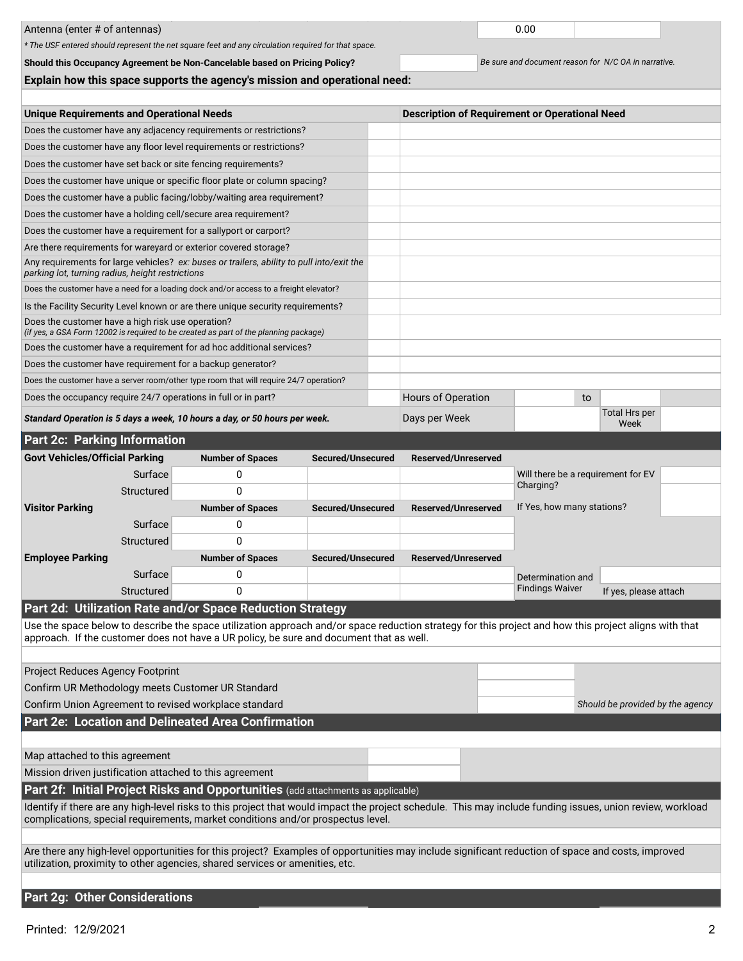|                                                                                                                                                                                                                                                  |                                                  |                   |                                  | 0.00                                                  |                              |  |  |  |  |
|--------------------------------------------------------------------------------------------------------------------------------------------------------------------------------------------------------------------------------------------------|--------------------------------------------------|-------------------|----------------------------------|-------------------------------------------------------|------------------------------|--|--|--|--|
| Antenna (enter # of antennas)<br>* The USF entered should represent the net square feet and any circulation required for that space.                                                                                                             |                                                  |                   |                                  |                                                       |                              |  |  |  |  |
|                                                                                                                                                                                                                                                  |                                                  |                   |                                  |                                                       |                              |  |  |  |  |
| Be sure and document reason for N/C OA in narrative.<br>Should this Occupancy Agreement be Non-Cancelable based on Pricing Policy?<br>Explain how this space supports the agency's mission and operational need:                                 |                                                  |                   |                                  |                                                       |                              |  |  |  |  |
|                                                                                                                                                                                                                                                  |                                                  |                   |                                  |                                                       |                              |  |  |  |  |
|                                                                                                                                                                                                                                                  | <b>Unique Requirements and Operational Needs</b> |                   |                                  | <b>Description of Requirement or Operational Need</b> |                              |  |  |  |  |
| Does the customer have any adjacency requirements or restrictions?                                                                                                                                                                               |                                                  |                   |                                  |                                                       |                              |  |  |  |  |
| Does the customer have any floor level requirements or restrictions?                                                                                                                                                                             |                                                  |                   |                                  |                                                       |                              |  |  |  |  |
| Does the customer have set back or site fencing requirements?                                                                                                                                                                                    |                                                  |                   |                                  |                                                       |                              |  |  |  |  |
| Does the customer have unique or specific floor plate or column spacing?                                                                                                                                                                         |                                                  |                   |                                  |                                                       |                              |  |  |  |  |
| Does the customer have a public facing/lobby/waiting area requirement?                                                                                                                                                                           |                                                  |                   |                                  |                                                       |                              |  |  |  |  |
| Does the customer have a holding cell/secure area requirement?                                                                                                                                                                                   |                                                  |                   |                                  |                                                       |                              |  |  |  |  |
| Does the customer have a requirement for a sallyport or carport?                                                                                                                                                                                 |                                                  |                   |                                  |                                                       |                              |  |  |  |  |
| Are there requirements for wareyard or exterior covered storage?                                                                                                                                                                                 |                                                  |                   |                                  |                                                       |                              |  |  |  |  |
| Any requirements for large vehicles? ex: buses or trailers, ability to pull into/exit the                                                                                                                                                        |                                                  |                   |                                  |                                                       |                              |  |  |  |  |
| parking lot, turning radius, height restrictions                                                                                                                                                                                                 |                                                  |                   |                                  |                                                       |                              |  |  |  |  |
| Does the customer have a need for a loading dock and/or access to a freight elevator?                                                                                                                                                            |                                                  |                   |                                  |                                                       |                              |  |  |  |  |
| Is the Facility Security Level known or are there unique security requirements?                                                                                                                                                                  |                                                  |                   |                                  |                                                       |                              |  |  |  |  |
| Does the customer have a high risk use operation?<br>(if yes, a GSA Form 12002 is required to be created as part of the planning package)                                                                                                        |                                                  |                   |                                  |                                                       |                              |  |  |  |  |
| Does the customer have a requirement for ad hoc additional services?                                                                                                                                                                             |                                                  |                   |                                  |                                                       |                              |  |  |  |  |
| Does the customer have requirement for a backup generator?                                                                                                                                                                                       |                                                  |                   |                                  |                                                       |                              |  |  |  |  |
| Does the customer have a server room/other type room that will require 24/7 operation?                                                                                                                                                           |                                                  |                   |                                  |                                                       |                              |  |  |  |  |
| Does the occupancy require 24/7 operations in full or in part?                                                                                                                                                                                   |                                                  |                   | Hours of Operation               | to                                                    |                              |  |  |  |  |
| Standard Operation is 5 days a week, 10 hours a day, or 50 hours per week.                                                                                                                                                                       |                                                  |                   | Days per Week                    |                                                       | <b>Total Hrs per</b><br>Week |  |  |  |  |
| <b>Part 2c: Parking Information</b>                                                                                                                                                                                                              |                                                  |                   |                                  |                                                       |                              |  |  |  |  |
| <b>Govt Vehicles/Official Parking</b>                                                                                                                                                                                                            | <b>Number of Spaces</b>                          | Secured/Unsecured | Reserved/Unreserved              |                                                       |                              |  |  |  |  |
| Surface                                                                                                                                                                                                                                          | 0                                                |                   |                                  | Will there be a requirement for EV                    |                              |  |  |  |  |
| Structured                                                                                                                                                                                                                                       | 0                                                |                   |                                  | Charging?                                             |                              |  |  |  |  |
| <b>Visitor Parking</b>                                                                                                                                                                                                                           | <b>Number of Spaces</b>                          | Secured/Unsecured | <b>Reserved/Unreserved</b>       | If Yes, how many stations?                            |                              |  |  |  |  |
| Surface                                                                                                                                                                                                                                          | 0                                                |                   |                                  |                                                       |                              |  |  |  |  |
| Structured                                                                                                                                                                                                                                       | 0                                                |                   |                                  |                                                       |                              |  |  |  |  |
| <b>Employee Parking</b>                                                                                                                                                                                                                          | <b>Number of Spaces</b>                          | Secured/Unsecured | <b>Reserved/Unreserved</b>       |                                                       |                              |  |  |  |  |
| Surface                                                                                                                                                                                                                                          | 0                                                |                   |                                  | Determination and                                     |                              |  |  |  |  |
| Structured                                                                                                                                                                                                                                       | 0                                                |                   |                                  | <b>Findings Waiver</b>                                | If yes, please attach        |  |  |  |  |
| Part 2d: Utilization Rate and/or Space Reduction Strategy                                                                                                                                                                                        |                                                  |                   |                                  |                                                       |                              |  |  |  |  |
| Use the space below to describe the space utilization approach and/or space reduction strategy for this project and how this project aligns with that<br>approach. If the customer does not have a UR policy, be sure and document that as well. |                                                  |                   |                                  |                                                       |                              |  |  |  |  |
| Project Reduces Agency Footprint                                                                                                                                                                                                                 |                                                  |                   |                                  |                                                       |                              |  |  |  |  |
| Confirm UR Methodology meets Customer UR Standard                                                                                                                                                                                                |                                                  |                   |                                  |                                                       |                              |  |  |  |  |
| Confirm Union Agreement to revised workplace standard                                                                                                                                                                                            |                                                  |                   | Should be provided by the agency |                                                       |                              |  |  |  |  |
| Part 2e: Location and Delineated Area Confirmation                                                                                                                                                                                               |                                                  |                   |                                  |                                                       |                              |  |  |  |  |
|                                                                                                                                                                                                                                                  |                                                  |                   |                                  |                                                       |                              |  |  |  |  |
| Map attached to this agreement                                                                                                                                                                                                                   |                                                  |                   |                                  |                                                       |                              |  |  |  |  |
| Mission driven justification attached to this agreement                                                                                                                                                                                          |                                                  |                   |                                  |                                                       |                              |  |  |  |  |
| Part 2f: Initial Project Risks and Opportunities (add attachments as applicable)                                                                                                                                                                 |                                                  |                   |                                  |                                                       |                              |  |  |  |  |
| Identify if there are any high-level risks to this project that would impact the project schedule. This may include funding issues, union review, workload<br>complications, special requirements, market conditions and/or prospectus level.    |                                                  |                   |                                  |                                                       |                              |  |  |  |  |
| Are there any high-level opportunities for this project? Examples of opportunities may include significant reduction of space and costs, improved                                                                                                |                                                  |                   |                                  |                                                       |                              |  |  |  |  |
| utilization, proximity to other agencies, shared services or amenities, etc.                                                                                                                                                                     |                                                  |                   |                                  |                                                       |                              |  |  |  |  |
| <b>Part 2g: Other Considerations</b>                                                                                                                                                                                                             |                                                  |                   |                                  |                                                       |                              |  |  |  |  |